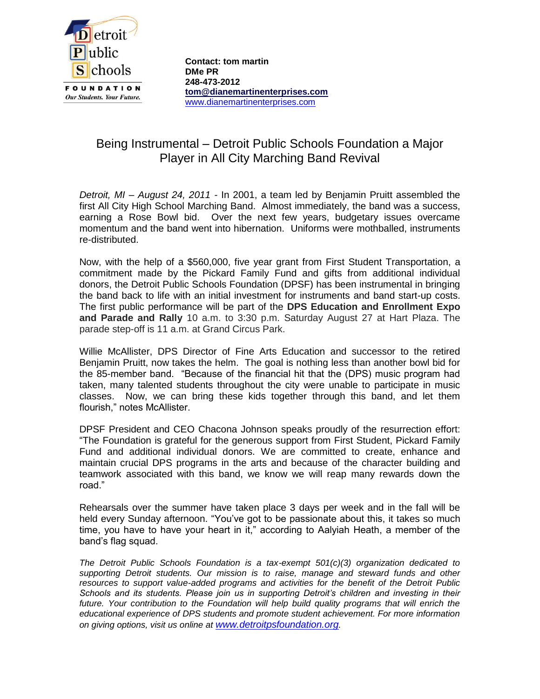

**Contact: tom martin DMe PR 248-473-2012 [tom@dianemartinenterprises.com](mailto:tom@dianemartinenterprises.com)** [www.dianemartinenterprises.com](http://www.dianemartinenterprises.com/)

## Being Instrumental – Detroit Public Schools Foundation a Major Player in All City Marching Band Revival

*Detroit, MI – August 24, 2011 -* In 2001, a team led by Benjamin Pruitt assembled the first All City High School Marching Band. Almost immediately, the band was a success, earning a Rose Bowl bid. Over the next few years, budgetary issues overcame momentum and the band went into hibernation. Uniforms were mothballed, instruments re-distributed.

Now, with the help of a \$560,000, five year grant from First Student Transportation, a commitment made by the Pickard Family Fund and gifts from additional individual donors, the Detroit Public Schools Foundation (DPSF) has been instrumental in bringing the band back to life with an initial investment for instruments and band start-up costs. The first public performance will be part of the **DPS Education and Enrollment Expo and Parade and Rally** 10 a.m. to 3:30 p.m. Saturday August 27 at Hart Plaza. The parade step-off is 11 a.m. at Grand Circus Park.

Willie McAllister, DPS Director of Fine Arts Education and successor to the retired Benjamin Pruitt, now takes the helm. The goal is nothing less than another bowl bid for the 85-member band. "Because of the financial hit that the (DPS) music program had taken, many talented students throughout the city were unable to participate in music classes. Now, we can bring these kids together through this band, and let them flourish," notes McAllister.

DPSF President and CEO Chacona Johnson speaks proudly of the resurrection effort: "The Foundation is grateful for the generous support from First Student, Pickard Family Fund and additional individual donors. We are committed to create, enhance and maintain crucial DPS programs in the arts and because of the character building and teamwork associated with this band, we know we will reap many rewards down the road."

Rehearsals over the summer have taken place 3 days per week and in the fall will be held every Sunday afternoon. "You've got to be passionate about this, it takes so much time, you have to have your heart in it," according to Aalyiah Heath, a member of the band's flag squad.

*The Detroit Public Schools Foundation is a tax-exempt 501(c)(3) organization dedicated to supporting Detroit students. Our mission is to raise, manage and steward funds and other resources to support value-added programs and activities for the benefit of the Detroit Public Schools and its students. Please join us in supporting Detroit's children and investing in their future. Your contribution to the Foundation will help build quality programs that will enrich the educational experience of DPS students and promote student achievement. For more information on giving options, visit us online at [www.detroitpsfoundation.org](http://www.detroitpsfoundation.org/).*